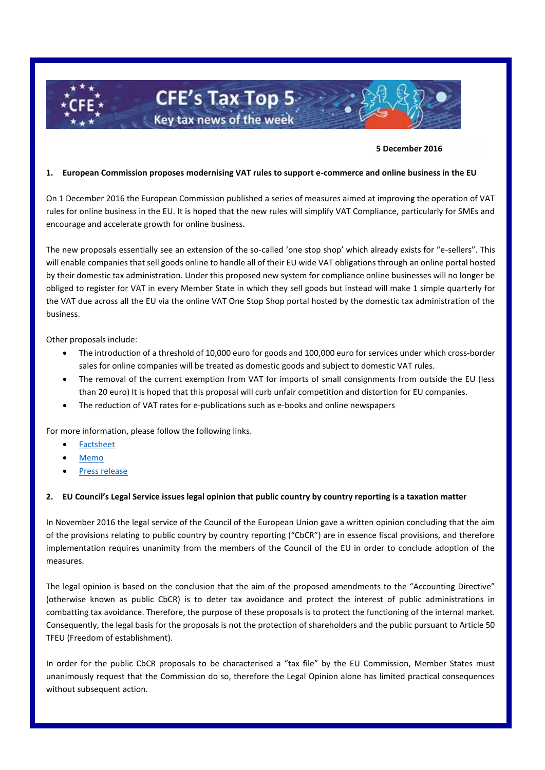

#### **5 December 2016**

#### **1. European Commission proposes modernising VAT rules to support e-commerce and online business in the EU**

On 1 December 2016 the European Commission published a series of measures aimed at improving the operation of VAT rules for online business in the EU. It is hoped that the new rules will simplify VAT Compliance, particularly for SMEs and encourage and accelerate growth for online business.

The new proposals essentially see an extension of the so-called 'one stop shop' which already exists for "e-sellers". This will enable companies that sell goods online to handle all of their EU wide VAT obligations through an online portal hosted by their domestic tax administration. Under this proposed new system for compliance online businesses will no longer be obliged to register for VAT in every Member State in which they sell goods but instead will make 1 simple quarterly for the VAT due across all the EU via the online VAT One Stop Shop portal hosted by the domestic tax administration of the business.

Other proposals include:

- The introduction of a threshold of 10,000 euro for goods and 100,000 euro for services under which cross-border sales for online companies will be treated as domestic goods and subject to domestic VAT rules.
- The removal of the current exemption from VAT for imports of small consignments from outside the EU (less than 20 euro) It is hoped that this proposal will curb unfair competition and distortion for EU companies.
- The reduction of VAT rates for e-publications such as e-books and online newspapers

For more information, please follow the following links.

- [Factsheet](http://ec.europa.eu/taxation_customs/sites/taxation/files/vat-e-commerce-factsheet.pdf)
- [Memo](http://europa.eu/rapid/press-release_MEMO-16-3746_en.htm)
- [Press release](http://europa.eu/rapid/press-release_IP-16-4010_en.htm)

### **2. EU Council's Legal Service issues legal opinion that public country by country reporting is a taxation matter**

In November 2016 the legal service of the Council of the European Union gave a written opinion concluding that the aim of the provisions relating to public country by country reporting ("CbCR") are in essence fiscal provisions, and therefore implementation requires unanimity from the members of the Council of the EU in order to conclude adoption of the measures.

The legal opinion is based on the conclusion that the aim of the proposed amendments to the "Accounting Directive" (otherwise known as public CbCR) is to deter tax avoidance and protect the interest of public administrations in combatting tax avoidance. Therefore, the purpose of these proposals is to protect the functioning of the internal market. Consequently, the legal basis for the proposals is not the protection of shareholders and the public pursuant to Article 50 TFEU (Freedom of establishment).

In order for the public CbCR proposals to be characterised a "tax file" by the EU Commission, Member States must unanimously request that the Commission do so, therefore the Legal Opinion alone has limited practical consequences without subsequent action.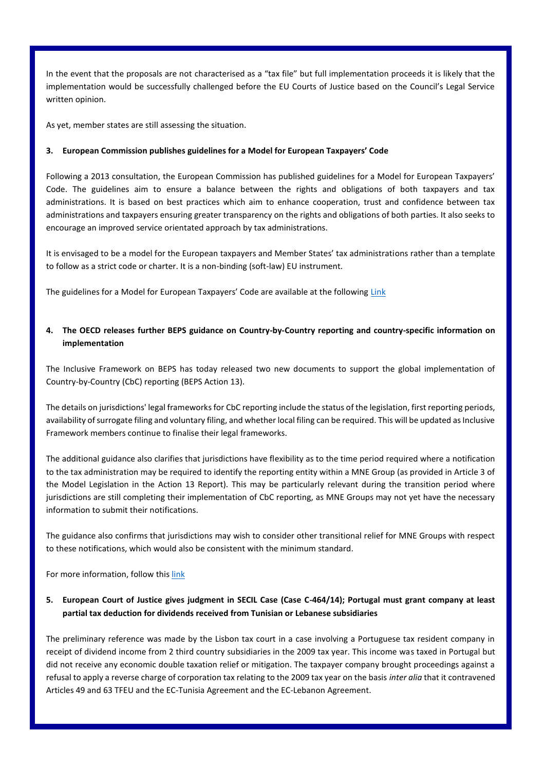In the event that the proposals are not characterised as a "tax file" but full implementation proceeds it is likely that the implementation would be successfully challenged before the EU Courts of Justice based on the Council's Legal Service written opinion.

As yet, member states are still assessing the situation.

## **3. European Commission publishes guidelines for a Model for European Taxpayers' Code**

Following a 2013 consultation, the European Commission has published guidelines for a Model for European Taxpayers' Code. The guidelines aim to ensure a balance between the rights and obligations of both taxpayers and tax administrations. It is based on best practices which aim to enhance cooperation, trust and confidence between tax administrations and taxpayers ensuring greater transparency on the rights and obligations of both parties. It also seeks to encourage an improved service orientated approach by tax administrations.

It is envisaged to be a model for the European taxpayers and Member States' tax administrations rather than a template to follow as a strict code or charter. It is a non-binding (soft-law) EU instrument.

The guidelines for a Model for European Taxpayers' Code are available at the following [Link](https://ec.europa.eu/taxation_customs/sites/taxation/files/guidelines_for_a_model_for_a_european_taxpayers_code_en.pdf)

# **4. The OECD releases further BEPS guidance on Country-by-Country reporting and country-specific information on implementation**

The Inclusive Framework on BEPS has today released two new documents to support the global implementation of Country-by-Country (CbC) reporting (BEPS Action 13).

The details on jurisdictions' legal frameworks for CbC reporting include the status of the legislation, first reporting periods, availability of surrogate filing and voluntary filing, and whether local filing can be required. This will be updated as Inclusive Framework members continue to finalise their legal frameworks.

The additional guidance also clarifies that jurisdictions have flexibility as to the time period required where a notification to the tax administration may be required to identify the reporting entity within a MNE Group (as provided in Article 3 of the Model Legislation in the Action 13 Report). This may be particularly relevant during the transition period where jurisdictions are still completing their implementation of CbC reporting, as MNE Groups may not yet have the necessary information to submit their notifications.

The guidance also confirms that jurisdictions may wish to consider other transitional relief for MNE Groups with respect to these notifications, which would also be consistent with the minimum standard.

For more information, follow thi[s link](http://www.oecd.org/tax/oecd-releases-further-beps-guidance-on-country-by-country-reporting-and-country-specific-information-on-implementation.htm)

## **5. European Court of Justice gives judgment in SECIL Case (Case C-464/14); Portugal must grant company at least partial tax deduction for dividends received from Tunisian or Lebanese subsidiaries**

The preliminary reference was made by the Lisbon tax court in a case involving a Portuguese tax resident company in receipt of dividend income from 2 third country subsidiaries in the 2009 tax year. This income was taxed in Portugal but did not receive any economic double taxation relief or mitigation. The taxpayer company brought proceedings against a refusal to apply a reverse charge of corporation tax relating to the 2009 tax year on the basis *inter alia* that it contravened Articles 49 and 63 TFEU and the EC-Tunisia Agreement and the EC-Lebanon Agreement.